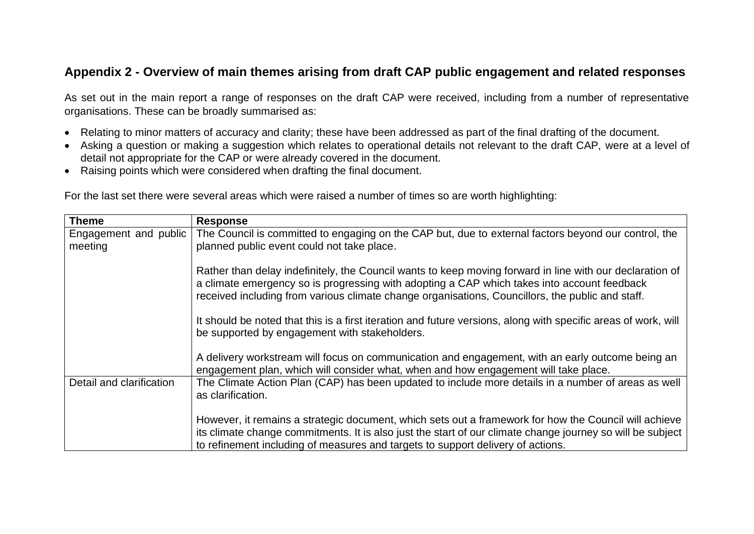## **Appendix 2 - Overview of main themes arising from draft CAP public engagement and related responses**

As set out in the main report a range of responses on the draft CAP were received, including from a number of representative organisations. These can be broadly summarised as:

- Relating to minor matters of accuracy and clarity; these have been addressed as part of the final drafting of the document.
- Asking a question or making a suggestion which relates to operational details not relevant to the draft CAP, were at a level of detail not appropriate for the CAP or were already covered in the document.
- Raising points which were considered when drafting the final document.

|  |  |  |  |  | For the last set there were several areas which were raised a number of times so are worth highlighting: |  |  |  |
|--|--|--|--|--|----------------------------------------------------------------------------------------------------------|--|--|--|
|  |  |  |  |  |                                                                                                          |  |  |  |

| <b>Theme</b>             | <b>Response</b>                                                                                                                                                                                                                                                                                             |  |  |  |  |
|--------------------------|-------------------------------------------------------------------------------------------------------------------------------------------------------------------------------------------------------------------------------------------------------------------------------------------------------------|--|--|--|--|
| Engagement and public    | The Council is committed to engaging on the CAP but, due to external factors beyond our control, the                                                                                                                                                                                                        |  |  |  |  |
| meeting                  | planned public event could not take place.                                                                                                                                                                                                                                                                  |  |  |  |  |
|                          | Rather than delay indefinitely, the Council wants to keep moving forward in line with our declaration of<br>a climate emergency so is progressing with adopting a CAP which takes into account feedback<br>received including from various climate change organisations, Councillors, the public and staff. |  |  |  |  |
|                          | It should be noted that this is a first iteration and future versions, along with specific areas of work, will<br>be supported by engagement with stakeholders.                                                                                                                                             |  |  |  |  |
|                          | A delivery workstream will focus on communication and engagement, with an early outcome being an<br>engagement plan, which will consider what, when and how engagement will take place.                                                                                                                     |  |  |  |  |
| Detail and clarification | The Climate Action Plan (CAP) has been updated to include more details in a number of areas as well<br>as clarification.                                                                                                                                                                                    |  |  |  |  |
|                          | However, it remains a strategic document, which sets out a framework for how the Council will achieve<br>its climate change commitments. It is also just the start of our climate change journey so will be subject<br>to refinement including of measures and targets to support delivery of actions.      |  |  |  |  |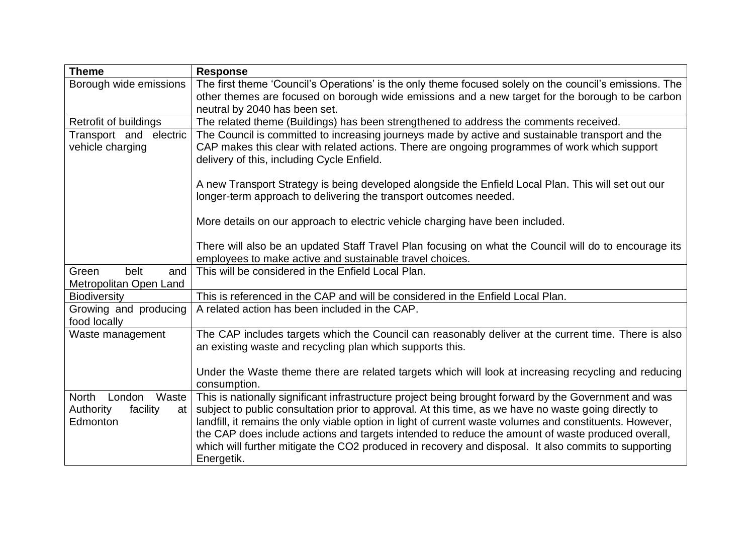| <b>Theme</b>                               | <b>Response</b>                                                                                                                                                                                                                                 |  |  |  |  |
|--------------------------------------------|-------------------------------------------------------------------------------------------------------------------------------------------------------------------------------------------------------------------------------------------------|--|--|--|--|
| Borough wide emissions                     | The first theme 'Council's Operations' is the only theme focused solely on the council's emissions. The                                                                                                                                         |  |  |  |  |
|                                            | other themes are focused on borough wide emissions and a new target for the borough to be carbon                                                                                                                                                |  |  |  |  |
|                                            | neutral by 2040 has been set.                                                                                                                                                                                                                   |  |  |  |  |
| Retrofit of buildings                      | The related theme (Buildings) has been strengthened to address the comments received.                                                                                                                                                           |  |  |  |  |
| Transport and electric<br>vehicle charging | The Council is committed to increasing journeys made by active and sustainable transport and the<br>CAP makes this clear with related actions. There are ongoing programmes of work which support<br>delivery of this, including Cycle Enfield. |  |  |  |  |
|                                            | A new Transport Strategy is being developed alongside the Enfield Local Plan. This will set out our<br>longer-term approach to delivering the transport outcomes needed.                                                                        |  |  |  |  |
|                                            | More details on our approach to electric vehicle charging have been included.                                                                                                                                                                   |  |  |  |  |
|                                            | There will also be an updated Staff Travel Plan focusing on what the Council will do to encourage its                                                                                                                                           |  |  |  |  |
|                                            | employees to make active and sustainable travel choices.                                                                                                                                                                                        |  |  |  |  |
| belt<br>Green<br>and                       | This will be considered in the Enfield Local Plan.                                                                                                                                                                                              |  |  |  |  |
| Metropolitan Open Land                     |                                                                                                                                                                                                                                                 |  |  |  |  |
| <b>Biodiversity</b>                        | This is referenced in the CAP and will be considered in the Enfield Local Plan.                                                                                                                                                                 |  |  |  |  |
| Growing and producing<br>food locally      | A related action has been included in the CAP.                                                                                                                                                                                                  |  |  |  |  |
| Waste management                           | The CAP includes targets which the Council can reasonably deliver at the current time. There is also<br>an existing waste and recycling plan which supports this.                                                                               |  |  |  |  |
|                                            | Under the Waste theme there are related targets which will look at increasing recycling and reducing<br>consumption.                                                                                                                            |  |  |  |  |
| <b>North</b><br>London<br>Waste            | This is nationally significant infrastructure project being brought forward by the Government and was                                                                                                                                           |  |  |  |  |
| Authority<br>facility<br>at                | subject to public consultation prior to approval. At this time, as we have no waste going directly to                                                                                                                                           |  |  |  |  |
| Edmonton                                   | landfill, it remains the only viable option in light of current waste volumes and constituents. However,                                                                                                                                        |  |  |  |  |
|                                            | the CAP does include actions and targets intended to reduce the amount of waste produced overall,                                                                                                                                               |  |  |  |  |
|                                            | which will further mitigate the CO2 produced in recovery and disposal. It also commits to supporting                                                                                                                                            |  |  |  |  |
|                                            | Energetik.                                                                                                                                                                                                                                      |  |  |  |  |